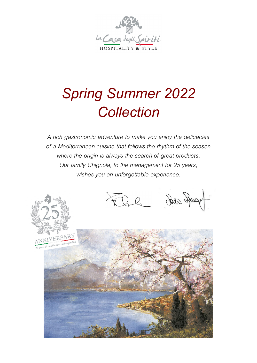

# *Spring Summer 2022 Collection*

*A rich gastronomic adventure to make you enjoy the delicacies of a Mediterranean cuisine that follows the rhythm of the season where the origin is always the search of great products. Our family Chignola, to the management for 25 years, wishes you an unforgettable experience.*

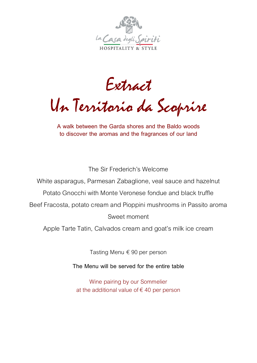

Extract

Un Territorio da Scoprire

**A walk between the Garda shores and the Baldo woods to discover the aromas and the fragrances of our land** 

The Sir Frederich's Welcome

White asparagus, Parmesan Zabaglione, veal sauce and hazelnut

Potato Gnocchi with Monte Veronese fondue and black truffle

Beef Fracosta, potato cream and Pioppini mushrooms in Passito aroma

#### Sweet moment

Apple Tarte Tatin, Calvados cream and goat's milk ice cream

Tasting Menu €90 per person

**The Menu will be served for the entire table** 

Wine pairing by our Sommelier at the additional value of  $\epsilon$  40 per person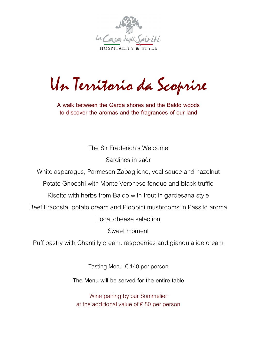

Un Territorio da Scoprire

**A walk between the Garda shores and the Baldo woods to discover the aromas and the fragrances of our land** 

> The Sir Frederich's Welcome Sardines in saòr

White asparagus, Parmesan Zabaglione, veal sauce and hazelnut

Potato Gnocchi with Monte Veronese fondue and black truffle

Risotto with herbs from Baldo with trout in gardesana style

Beef Fracosta, potato cream and Pioppini mushrooms in Passito aroma

Local cheese selection

Sweet moment

Puff pastry with Chantilly cream, raspberries and gianduia ice cream

Tasting Menu €140 per person

**The Menu will be served for the entire table** 

Wine pairing by our Sommelier at the additional value of  $\epsilon$  80 per person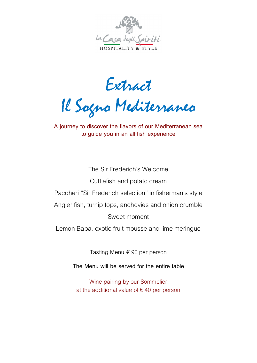

Extract

Il Sogno Mediterraneo

**A journey to discover the flavors of our Mediterranean sea to guide you in an all-fish experience**

The Sir Frederich's Welcome Cuttlefish and potato cream Paccheri "Sir Frederich selection" in fisherman's style Angler fish, turnip tops, anchovies and onion crumble Sweet moment Lemon Baba, exotic fruit mousse and lime meringue

Tasting Menu €90 per person

**The Menu will be served for the entire table** 

Wine pairing by our Sommelier at the additional value of  $\epsilon$  40 per person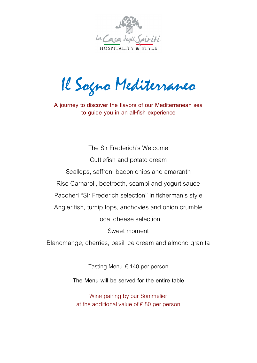

Il Sogno Mediterraneo

**A journey to discover the flavors of our Mediterranean sea to guide you in an all-fish experience**

The Sir Frederich's Welcome Cuttlefish and potato cream Scallops, saffron, bacon chips and amaranth Riso Carnaroli, beetrooth, scampi and yogurt sauce Paccheri "Sir Frederich selection" in fisherman's style Angler fish, turnip tops, anchovies and onion crumble Local cheese selection Sweet moment

Blancmange, cherries, basil ice cream and almond granita

Tasting Menu €140 per person

**The Menu will be served for the entire table** 

Wine pairing by our Sommelier at the additional value of  $\epsilon$  80 per person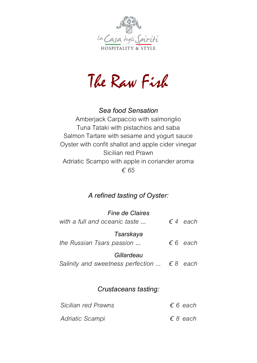

The Raw Fish

### *Sea food Sensation*

Amberjack Carpaccio with salmoriglio Tuna Tataki with pistachios and saba Salmon Tartare with sesame and yogurt sauce Oyster with confit shallot and apple cider vinegar Sicilian red Prawn Adriatic Scampo with apple in coriander aroma *€ 65*

## *A refined tasting of Oyster:*

| <i>Fine de Claires</i><br>with a full and oceanic taste               |  | $\epsilon$ 4 each |  |
|-----------------------------------------------------------------------|--|-------------------|--|
| Tsarskaya<br>the Russian Tsars passion                                |  | $\epsilon$ 6 each |  |
| Gillardeau<br>Salinity and sweetness perfection $\ldots$ $\in$ 8 each |  |                   |  |
| Crustaceans tasting:                                                  |  |                   |  |
| Sicilian red Prawns                                                   |  | $\epsilon$ 6 each |  |

| <i>Sicilian reg Prawns</i> | e o <i>eacn</i>   |
|----------------------------|-------------------|
| Adriatic Scampi            | $\epsilon$ 8 each |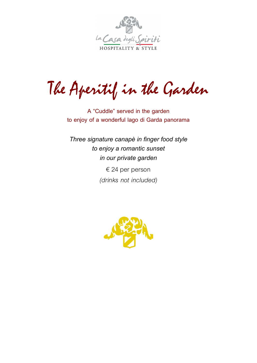

The Aperitif in the Garden

**A "Cuddle" served in the garden to enjoy of a wonderful lago di Garda panorama**

*Three signature canapè in finger food style to enjoy a romantic sunset in our private garden* €24 per person *(drinks not included)*

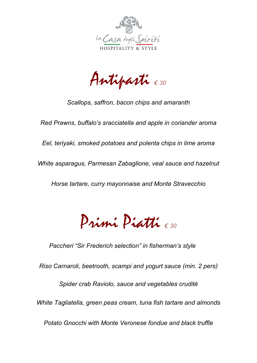

Antipasti *€ <sup>30</sup>*

*Scallops, saffron, bacon chips and amaranth*

*Red Prawns, buffalo's sracciatella and apple in coriander aroma*

*Eel, teriyaki, smoked potatoes and polenta chips in lime aroma*

*White asparagus, Parmesan Zabaglione, veal sauce and hazelnut*

*Horse tartare, curry mayonnaise and Monte Stravecchio* 

Primi Piatti *€ <sup>30</sup>*

*Paccheri "Sir Frederich selection" in fisherman's style*

*Riso Carnaroli, beetrooth, scampi and yogurt sauce (min. 2 pers)*

*Spider crab Raviolo, sauce and vegetables crudité*

*White Tagliatella, green peas cream, tuna fish tartare and almonds*

*Potato Gnocchi with Monte Veronese fondue and black truffle*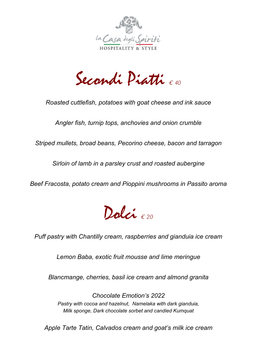

Secondi Piatti *€ <sup>40</sup>*

*Roasted cuttlefish, potatoes with goat cheese and ink sauce* 

*Angler fish, turnip tops, anchovies and onion crumble*

*Striped mullets, broad beans, Pecorino cheese, bacon and tarragon*

*Sirloin of lamb in a parsley crust and roasted aubergine*

*Beef Fracosta, potato cream and Pioppini mushrooms in Passito aroma* 



*Puff pastry with Chantilly cream, raspberries and gianduia ice cream*

*Lemon Baba, exotic fruit mousse and lime meringue*

*Blancmange, cherries, basil ice cream and almond granita*

*Chocolate Emotion's 2022 Pastry with cocoa and hazelnut, Namelaka with dark gianduia, Milk sponge, Dark chocolate sorbet and candied Kumquat* 

*Apple Tarte Tatin, Calvados cream and goat's milk ice cream*